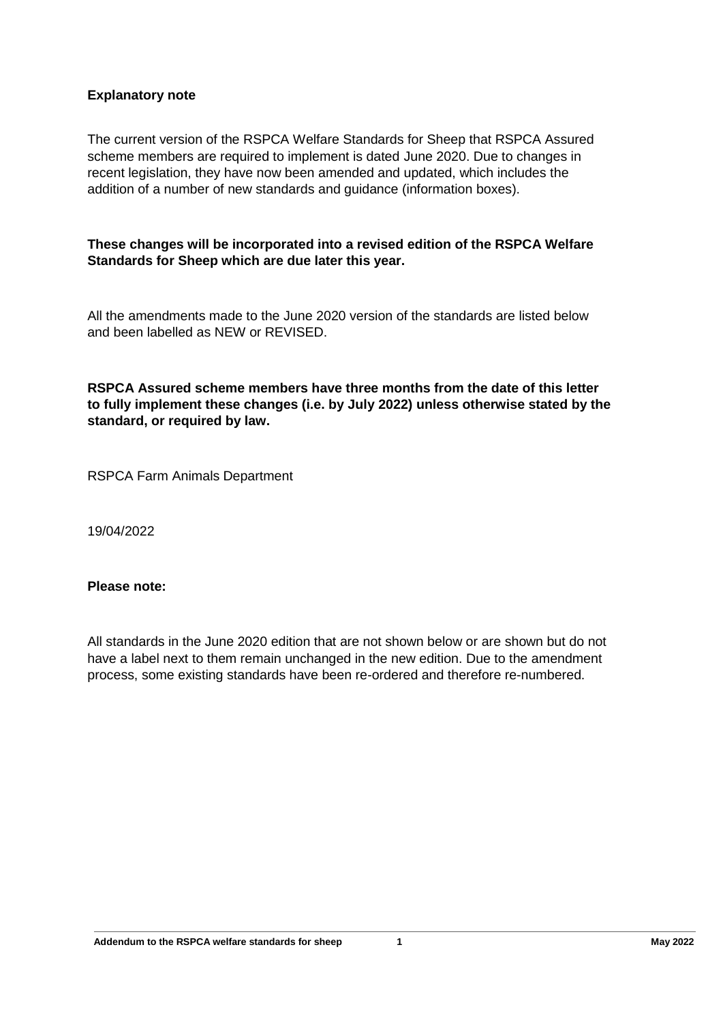# **Explanatory note**

The current version of the RSPCA Welfare Standards for Sheep that RSPCA Assured scheme members are required to implement is dated June 2020. Due to changes in recent legislation, they have now been amended and updated, which includes the addition of a number of new standards and guidance (information boxes).

**These changes will be incorporated into a revised edition of the RSPCA Welfare Standards for Sheep which are due later this year.** 

All the amendments made to the June 2020 version of the standards are listed below and been labelled as NEW or REVISED.

**RSPCA Assured scheme members have three months from the date of this letter to fully implement these changes (i.e. by July 2022) unless otherwise stated by the standard, or required by law.**

RSPCA Farm Animals Department

19/04/2022

## **Please note:**

All standards in the June 2020 edition that are not shown below or are shown but do not have a label next to them remain unchanged in the new edition. Due to the amendment process, some existing standards have been re-ordered and therefore re-numbered.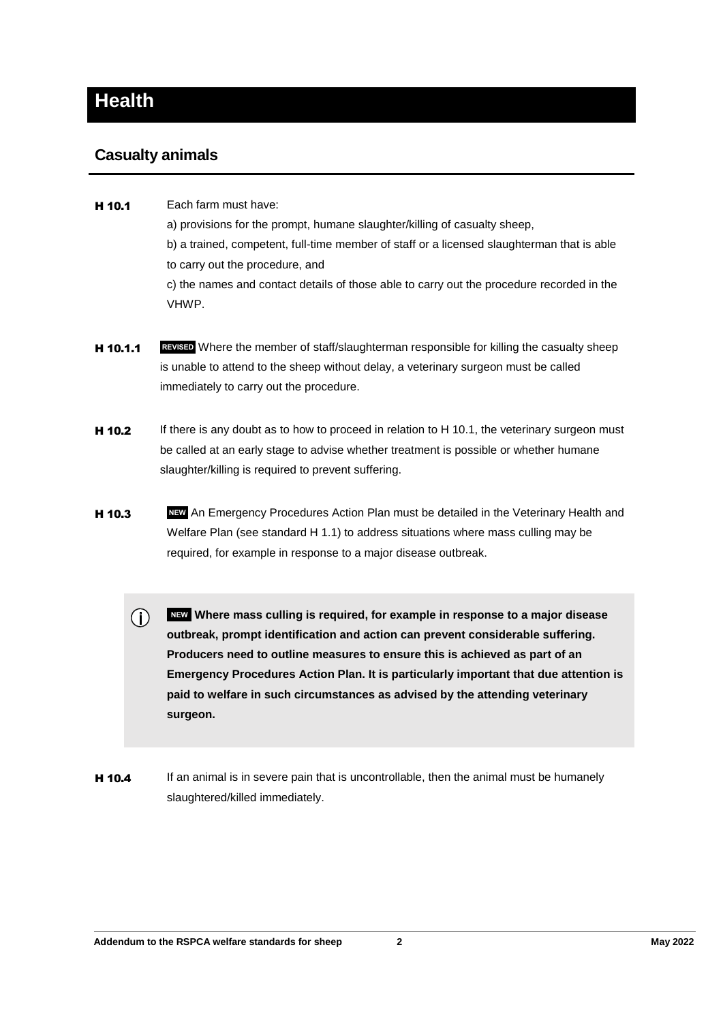# **Health**

# **Casualty animals**

- H 10.1 Each farm must have: a) provisions for the prompt, humane slaughter/killing of casualty sheep, b) a trained, competent, full-time member of staff or a licensed slaughterman that is able to carry out the procedure, and c) the names and contact details of those able to carry out the procedure recorded in the VHWP.
- **H 10.1.1 REVISED** Where the member of staff/slaughterman responsible for killing the casualty sheep is unable to attend to the sheep without delay, a veterinary surgeon must be called immediately to carry out the procedure.
- **H 10.2** If there is any doubt as to how to proceed in relation to H 10.1, the veterinary surgeon must be called at an early stage to advise whether treatment is possible or whether humane slaughter/killing is required to prevent suffering.
- **H 10.3** NEW An Emergency Procedures Action Plan must be detailed in the Veterinary Health and Welfare Plan (see standard H 1.1) to address situations where mass culling may be required, for example in response to a major disease outbreak.
	- $\bigcirc$  **NEW Where mass culling is required, for example in response to a major disease outbreak, prompt identification and action can prevent considerable suffering. Producers need to outline measures to ensure this is achieved as part of an Emergency Procedures Action Plan. It is particularly important that due attention is paid to welfare in such circumstances as advised by the attending veterinary surgeon.**
- **H 10.4** If an animal is in severe pain that is uncontrollable, then the animal must be humanely slaughtered/killed immediately.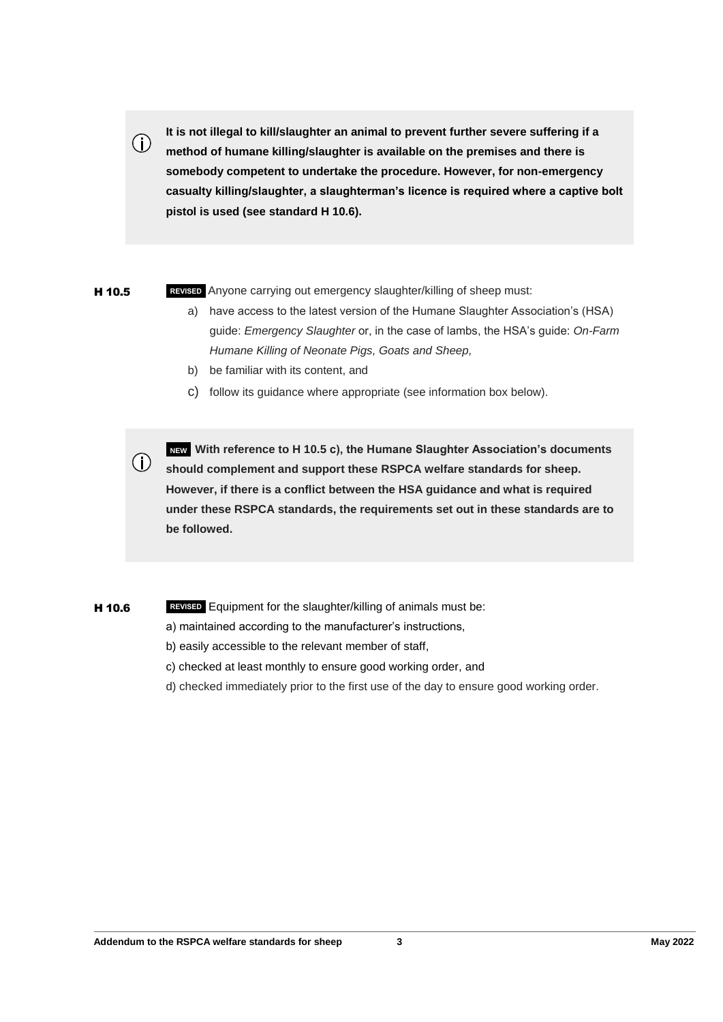**It is not illegal to kill/slaughter an animal to prevent further severe suffering if a method of humane killing/slaughter is available on the premises and there is somebody competent to undertake the procedure. However, for non-emergency casualty killing/slaughter, a slaughterman's licence is required where a captive bolt pistol is used (see standard H 10.6).**

 $(i)$ 

**H 10.5 REVISED** Anyone carrying out emergency slaughter/killing of sheep must:

- a) have access to the latest version of the Humane Slaughter Association's (HSA) guide: *Emergency Slaughter* or, in the case of lambs, the HSA's guide: *On-Farm Humane Killing of Neonate Pigs, Goats and Sheep,*
- b) be familiar with its content, and
- c) follow its guidance where appropriate (see information box below).

**(i)** NEW With reference to H 10.5 c), the Humane Slaughter Association's documents<br>
(i) should complement and cunnert these BSBCA welfare atopdards for sheep **should complement and support these RSPCA welfare standards for sheep. However, if there is a conflict between the HSA guidance and what is required under these RSPCA standards, the requirements set out in these standards are to be followed.**

#### **H 10.6 REVISED** Equipment for the slaughter/killing of animals must be:

- a) maintained according to the manufacturer's instructions,
- b) easily accessible to the relevant member of staff,
- c) checked at least monthly to ensure good working order, and
- d) checked immediately prior to the first use of the day to ensure good working order.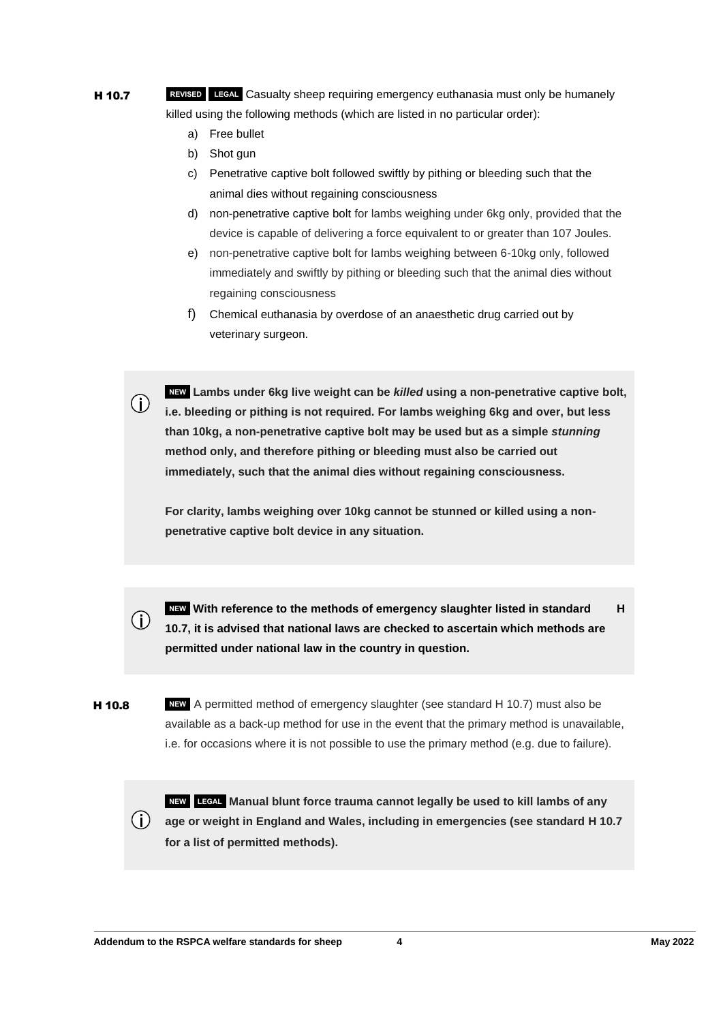- H 10.7 **REVISED LEGAL** Casualty sheep requiring emergency euthanasia must only be humanely killed using the following methods (which are listed in no particular order):
	- a) Free bullet
	- b) Shot gun

 $\bigcirc$ 

- c) Penetrative captive bolt followed swiftly by pithing or bleeding such that the animal dies without regaining consciousness
- d) non-penetrative captive bolt for lambs weighing under 6kg only, provided that the device is capable of delivering a force equivalent to or greater than 107 Joules.
- e) non-penetrative captive bolt for lambs weighing between 6-10kg only, followed immediately and swiftly by pithing or bleeding such that the animal dies without regaining consciousness
- f) Chemical euthanasia by overdose of an anaesthetic drug carried out by veterinary surgeon.

 **NEW Lambs under 6kg live weight can be** *killed* **using a non-penetrative captive bolt, i.e. bleeding or pithing is not required. For lambs weighing 6kg and over, but less than 10kg, a non-penetrative captive bolt may be used but as a simple** *stunning*  **method only, and therefore pithing or bleeding must also be carried out immediately, such that the animal dies without regaining consciousness.**

**For clarity, lambs weighing over 10kg cannot be stunned or killed using a nonpenetrative captive bolt device in any situation.**



**H 10.8** NEW A permitted method of emergency slaughter (see standard H 10.7) must also be available as a back-up method for use in the event that the primary method is unavailable, i.e. for occasions where it is not possible to use the primary method (e.g. due to failure).

 **NEW LEGAL Manual blunt force trauma cannot legally be used to kill lambs of any**   $(i)$ **age or weight in England and Wales, including in emergencies (see standard H 10.7 for a list of permitted methods).**